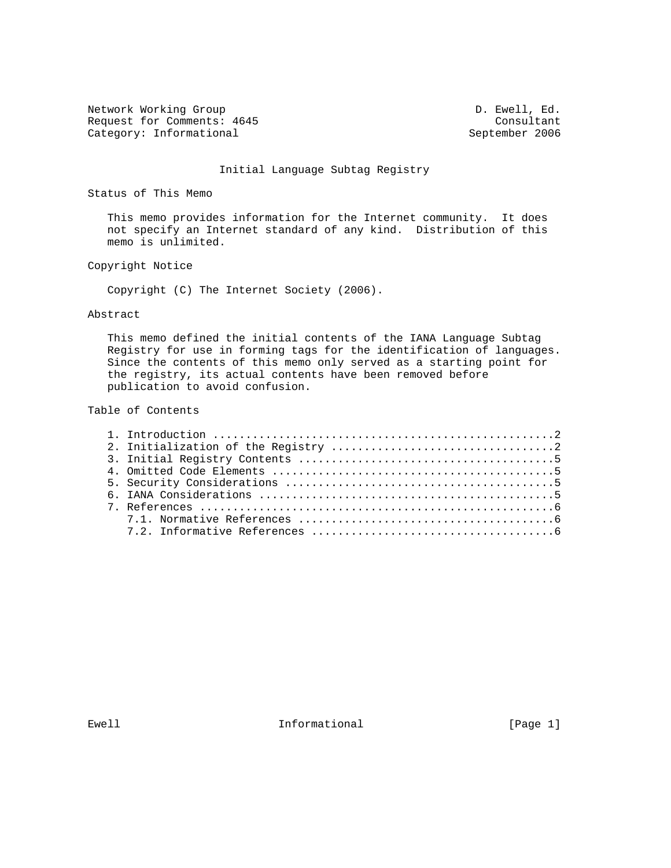Network Working Group  $D.$  Ewell, Ed. Request for Comments: 4645 Consultant<br>
Category: Informational Category: Informational September 2006 Category: Informational

### Initial Language Subtag Registry

Status of This Memo

 This memo provides information for the Internet community. It does not specify an Internet standard of any kind. Distribution of this memo is unlimited.

### Copyright Notice

Copyright (C) The Internet Society (2006).

#### Abstract

 This memo defined the initial contents of the IANA Language Subtag Registry for use in forming tags for the identification of languages. Since the contents of this memo only served as a starting point for the registry, its actual contents have been removed before publication to avoid confusion.

# Table of Contents

Ewell **Informational** Informational [Page 1]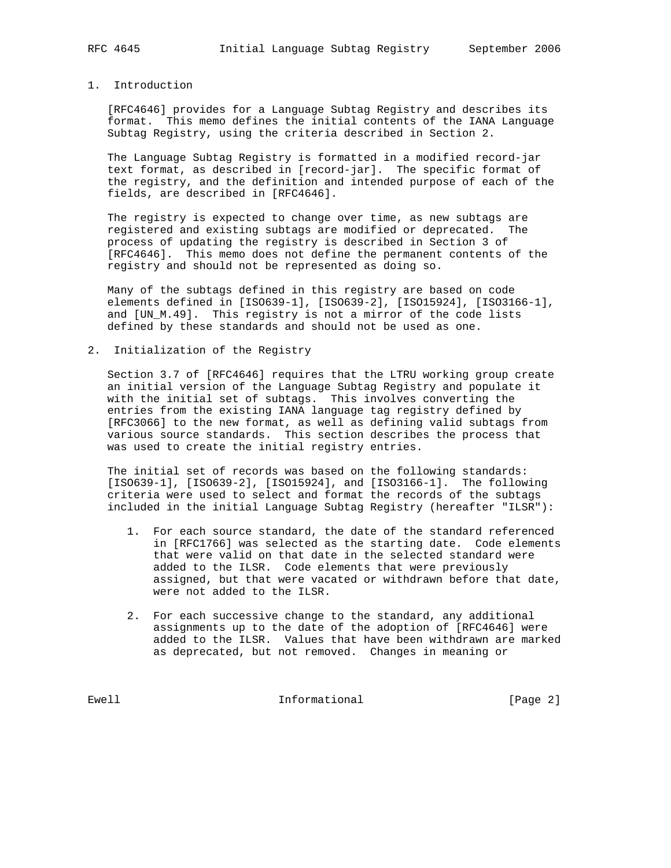# 1. Introduction

 [RFC4646] provides for a Language Subtag Registry and describes its format. This memo defines the initial contents of the IANA Language Subtag Registry, using the criteria described in Section 2.

 The Language Subtag Registry is formatted in a modified record-jar text format, as described in [record-jar]. The specific format of the registry, and the definition and intended purpose of each of the fields, are described in [RFC4646].

 The registry is expected to change over time, as new subtags are registered and existing subtags are modified or deprecated. The process of updating the registry is described in Section 3 of [RFC4646]. This memo does not define the permanent contents of the registry and should not be represented as doing so.

 Many of the subtags defined in this registry are based on code elements defined in [ISO639-1], [ISO639-2], [ISO15924], [ISO3166-1], and [UN\_M.49]. This registry is not a mirror of the code lists defined by these standards and should not be used as one.

2. Initialization of the Registry

 Section 3.7 of [RFC4646] requires that the LTRU working group create an initial version of the Language Subtag Registry and populate it with the initial set of subtags. This involves converting the entries from the existing IANA language tag registry defined by [RFC3066] to the new format, as well as defining valid subtags from various source standards. This section describes the process that was used to create the initial registry entries.

 The initial set of records was based on the following standards: [ISO639-1], [ISO639-2], [ISO15924], and [ISO3166-1]. The following criteria were used to select and format the records of the subtags included in the initial Language Subtag Registry (hereafter "ILSR"):

- 1. For each source standard, the date of the standard referenced in [RFC1766] was selected as the starting date. Code elements that were valid on that date in the selected standard were added to the ILSR. Code elements that were previously assigned, but that were vacated or withdrawn before that date, were not added to the ILSR.
- 2. For each successive change to the standard, any additional assignments up to the date of the adoption of [RFC4646] were added to the ILSR. Values that have been withdrawn are marked as deprecated, but not removed. Changes in meaning or

Ewell [Page 2]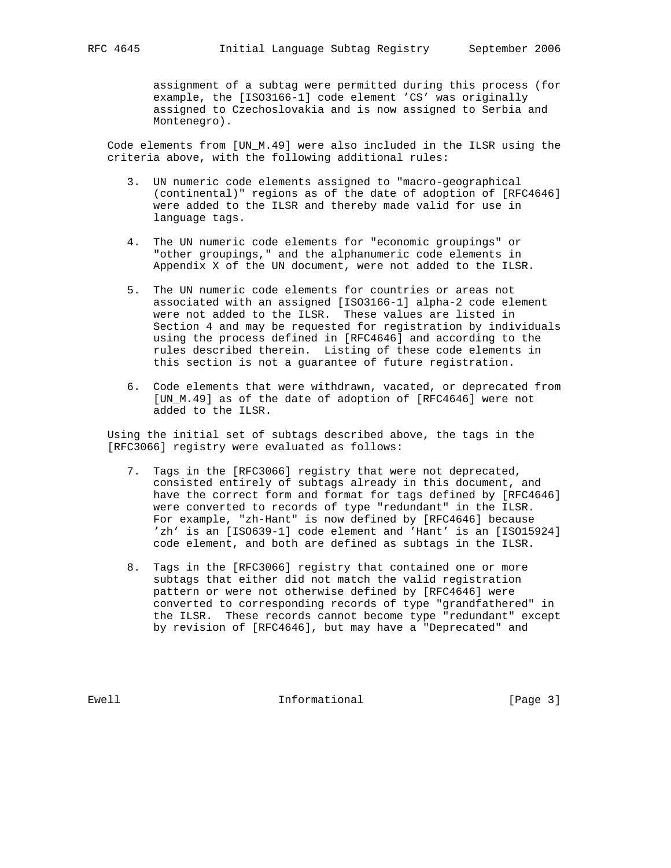assignment of a subtag were permitted during this process (for example, the [ISO3166-1] code element 'CS' was originally assigned to Czechoslovakia and is now assigned to Serbia and Montenegro).

 Code elements from [UN\_M.49] were also included in the ILSR using the criteria above, with the following additional rules:

- 3. UN numeric code elements assigned to "macro-geographical (continental)" regions as of the date of adoption of [RFC4646] were added to the ILSR and thereby made valid for use in language tags.
- 4. The UN numeric code elements for "economic groupings" or "other groupings," and the alphanumeric code elements in Appendix X of the UN document, were not added to the ILSR.
- 5. The UN numeric code elements for countries or areas not associated with an assigned [ISO3166-1] alpha-2 code element were not added to the ILSR. These values are listed in Section 4 and may be requested for registration by individuals using the process defined in [RFC4646] and according to the rules described therein. Listing of these code elements in this section is not a guarantee of future registration.
- 6. Code elements that were withdrawn, vacated, or deprecated from [UN\_M.49] as of the date of adoption of [RFC4646] were not added to the ILSR.

 Using the initial set of subtags described above, the tags in the [RFC3066] registry were evaluated as follows:

- 7. Tags in the [RFC3066] registry that were not deprecated, consisted entirely of subtags already in this document, and have the correct form and format for tags defined by [RFC4646] were converted to records of type "redundant" in the ILSR. For example, "zh-Hant" is now defined by [RFC4646] because 'zh' is an [ISO639-1] code element and 'Hant' is an [ISO15924] code element, and both are defined as subtags in the ILSR.
- 8. Tags in the [RFC3066] registry that contained one or more subtags that either did not match the valid registration pattern or were not otherwise defined by [RFC4646] were converted to corresponding records of type "grandfathered" in the ILSR. These records cannot become type "redundant" except by revision of [RFC4646], but may have a "Deprecated" and

Ewell **Informational** Informational [Page 3]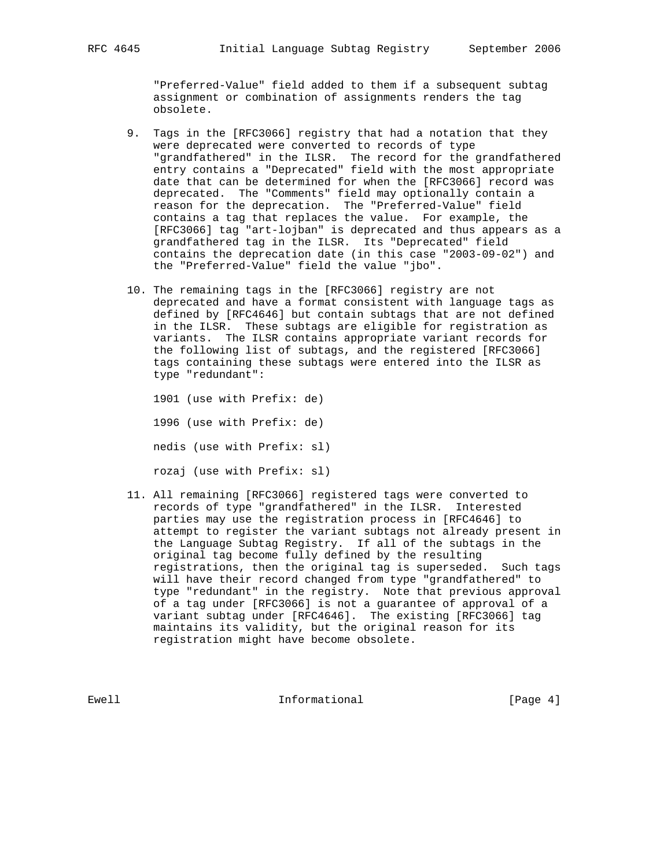"Preferred-Value" field added to them if a subsequent subtag assignment or combination of assignments renders the tag obsolete.

- 9. Tags in the [RFC3066] registry that had a notation that they were deprecated were converted to records of type "grandfathered" in the ILSR. The record for the grandfathered entry contains a "Deprecated" field with the most appropriate date that can be determined for when the [RFC3066] record was deprecated. The "Comments" field may optionally contain a reason for the deprecation. The "Preferred-Value" field contains a tag that replaces the value. For example, the [RFC3066] tag "art-lojban" is deprecated and thus appears as a grandfathered tag in the ILSR. Its "Deprecated" field contains the deprecation date (in this case "2003-09-02") and the "Preferred-Value" field the value "jbo".
- 10. The remaining tags in the [RFC3066] registry are not deprecated and have a format consistent with language tags as defined by [RFC4646] but contain subtags that are not defined in the ILSR. These subtags are eligible for registration as variants. The ILSR contains appropriate variant records for the following list of subtags, and the registered [RFC3066] tags containing these subtags were entered into the ILSR as type "redundant":

 1901 (use with Prefix: de) 1996 (use with Prefix: de) nedis (use with Prefix: sl) rozaj (use with Prefix: sl)

 11. All remaining [RFC3066] registered tags were converted to records of type "grandfathered" in the ILSR. Interested parties may use the registration process in [RFC4646] to attempt to register the variant subtags not already present in the Language Subtag Registry. If all of the subtags in the original tag become fully defined by the resulting registrations, then the original tag is superseded. Such tags will have their record changed from type "grandfathered" to type "redundant" in the registry. Note that previous approval of a tag under [RFC3066] is not a guarantee of approval of a variant subtag under [RFC4646]. The existing [RFC3066] tag maintains its validity, but the original reason for its registration might have become obsolete.

Ewell **Informational** Informational [Page 4]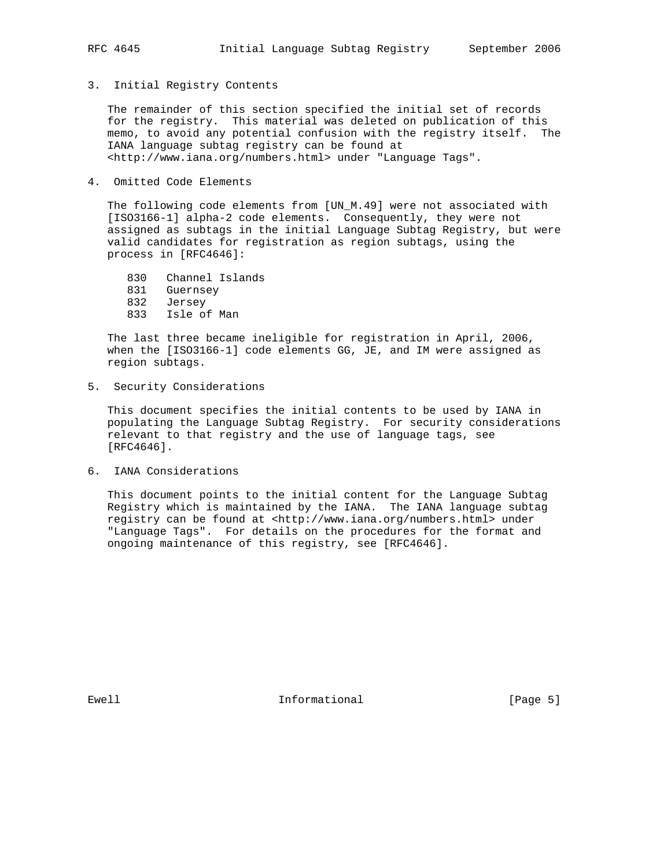## 3. Initial Registry Contents

 The remainder of this section specified the initial set of records for the registry. This material was deleted on publication of this memo, to avoid any potential confusion with the registry itself. The IANA language subtag registry can be found at <http://www.iana.org/numbers.html> under "Language Tags".

4. Omitted Code Elements

 The following code elements from [UN\_M.49] were not associated with [ISO3166-1] alpha-2 code elements. Consequently, they were not assigned as subtags in the initial Language Subtag Registry, but were valid candidates for registration as region subtags, using the process in [RFC4646]:

830 Channel Islands

- 831 Guernsey
- 832 Jersey
- 833 Isle of Man

 The last three became ineligible for registration in April, 2006, when the [ISO3166-1] code elements GG, JE, and IM were assigned as region subtags.

5. Security Considerations

 This document specifies the initial contents to be used by IANA in populating the Language Subtag Registry. For security considerations relevant to that registry and the use of language tags, see [RFC4646].

6. IANA Considerations

 This document points to the initial content for the Language Subtag Registry which is maintained by the IANA. The IANA language subtag registry can be found at <http://www.iana.org/numbers.html> under "Language Tags". For details on the procedures for the format and ongoing maintenance of this registry, see [RFC4646].

Ewell **Informational** Informational [Page 5]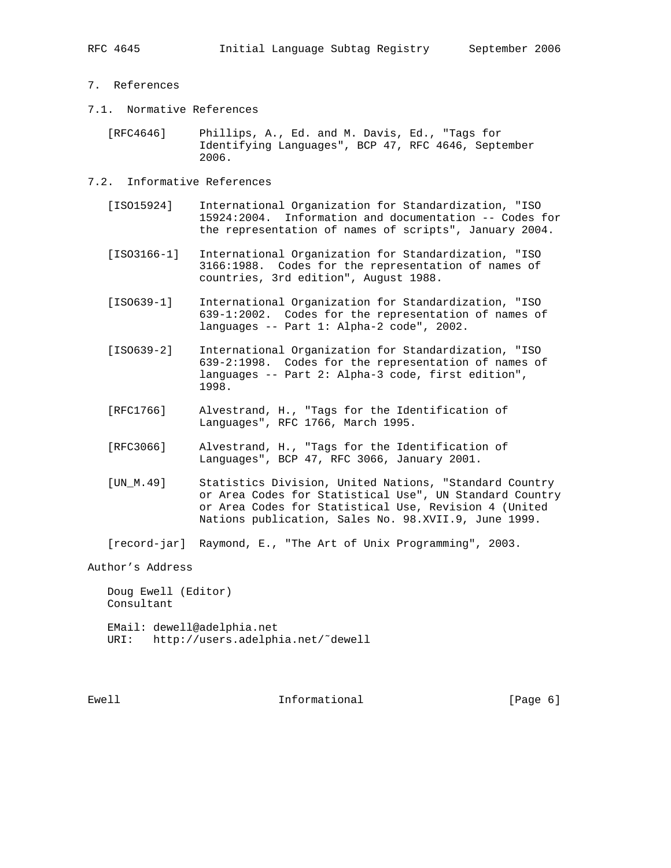- 7. References
- 7.1. Normative References

 [RFC4646] Phillips, A., Ed. and M. Davis, Ed., "Tags for Identifying Languages", BCP 47, RFC 4646, September 2006.

- 7.2. Informative References
	- [ISO15924] International Organization for Standardization, "ISO 15924:2004. Information and documentation -- Codes for the representation of names of scripts", January 2004.

 [ISO3166-1] International Organization for Standardization, "ISO 3166:1988. Codes for the representation of names of countries, 3rd edition", August 1988.

- [ISO639-1] International Organization for Standardization, "ISO 639-1:2002. Codes for the representation of names of languages -- Part 1: Alpha-2 code", 2002.
- [ISO639-2] International Organization for Standardization, "ISO 639-2:1998. Codes for the representation of names of languages -- Part 2: Alpha-3 code, first edition", 1998.
- [RFC1766] Alvestrand, H., "Tags for the Identification of Languages", RFC 1766, March 1995.
- [RFC3066] Alvestrand, H., "Tags for the Identification of Languages", BCP 47, RFC 3066, January 2001.
- [UN\_M.49] Statistics Division, United Nations, "Standard Country or Area Codes for Statistical Use", UN Standard Country or Area Codes for Statistical Use, Revision 4 (United Nations publication, Sales No. 98.XVII.9, June 1999.

[record-jar] Raymond, E., "The Art of Unix Programming", 2003.

Author's Address

 Doug Ewell (Editor) Consultant EMail: dewell@adelphia.net

URI: http://users.adelphia.net/˜dewell

Ewell **Informational** Informational [Page 6]